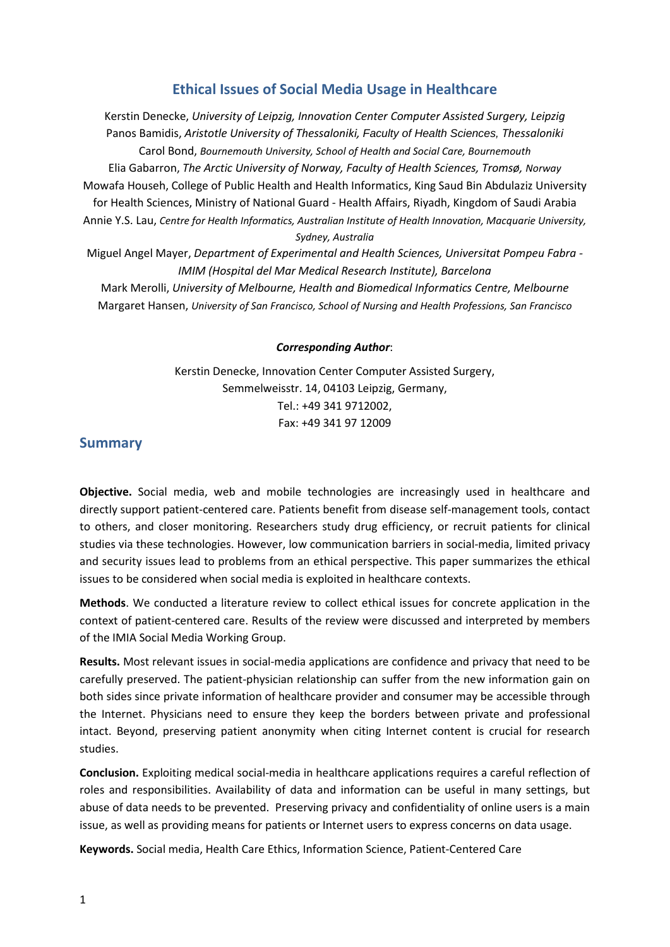# **Ethical Issues of Social Media Usage in Healthcare**

Kerstin Denecke, *University of Leipzig, Innovation Center Computer Assisted Surgery, Leipzig* Panos Bamidis, *Aristotle University of Thessaloniki, Faculty of Health Sciences, Thessaloniki* Carol Bond, *Bournemouth University, School of Health and Social Care, Bournemouth* Elia Gabarron, *The Arctic University of Norway, Faculty of Health Sciences, Tromsø, Norway* Mowafa Househ, College of Public Health and Health Informatics, King Saud Bin Abdulaziz University for Health Sciences, Ministry of National Guard - Health Affairs, Riyadh, Kingdom of Saudi Arabia Annie Y.S. Lau, *Centre for Health Informatics, Australian Institute of Health Innovation, Macquarie University, Sydney, Australia* Miguel Angel Mayer, *Department of Experimental and Health Sciences, Universitat Pompeu Fabra - IMIM (Hospital del Mar Medical Research Institute), Barcelona* Mark Merolli, *University of Melbourne, Health and Biomedical Informatics Centre, Melbourne* Margaret Hansen, *University of San Francisco, School of Nursing and Health Professions, San Francisco*

#### *Corresponding Author*:

Kerstin Denecke, Innovation Center Computer Assisted Surgery, Semmelweisstr. 14, 04103 Leipzig, Germany, Tel.: +49 341 9712002, Fax: +49 341 97 12009

### **Summary**

**Objective.** Social media, web and mobile technologies are increasingly used in healthcare and directly support patient-centered care. Patients benefit from disease self-management tools, contact to others, and closer monitoring. Researchers study drug efficiency, or recruit patients for clinical studies via these technologies. However, low communication barriers in social-media, limited privacy and security issues lead to problems from an ethical perspective. This paper summarizes the ethical issues to be considered when social media is exploited in healthcare contexts.

**Methods**. We conducted a literature review to collect ethical issues for concrete application in the context of patient-centered care. Results of the review were discussed and interpreted by members of the IMIA Social Media Working Group.

**Results.** Most relevant issues in social-media applications are confidence and privacy that need to be carefully preserved. The patient-physician relationship can suffer from the new information gain on both sides since private information of healthcare provider and consumer may be accessible through the Internet. Physicians need to ensure they keep the borders between private and professional intact. Beyond, preserving patient anonymity when citing Internet content is crucial for research studies.

**Conclusion.** Exploiting medical social-media in healthcare applications requires a careful reflection of roles and responsibilities. Availability of data and information can be useful in many settings, but abuse of data needs to be prevented. Preserving privacy and confidentiality of online users is a main issue, as well as providing means for patients or Internet users to express concerns on data usage.

**Keywords.** Social media, Health Care Ethics, Information Science, Patient-Centered Care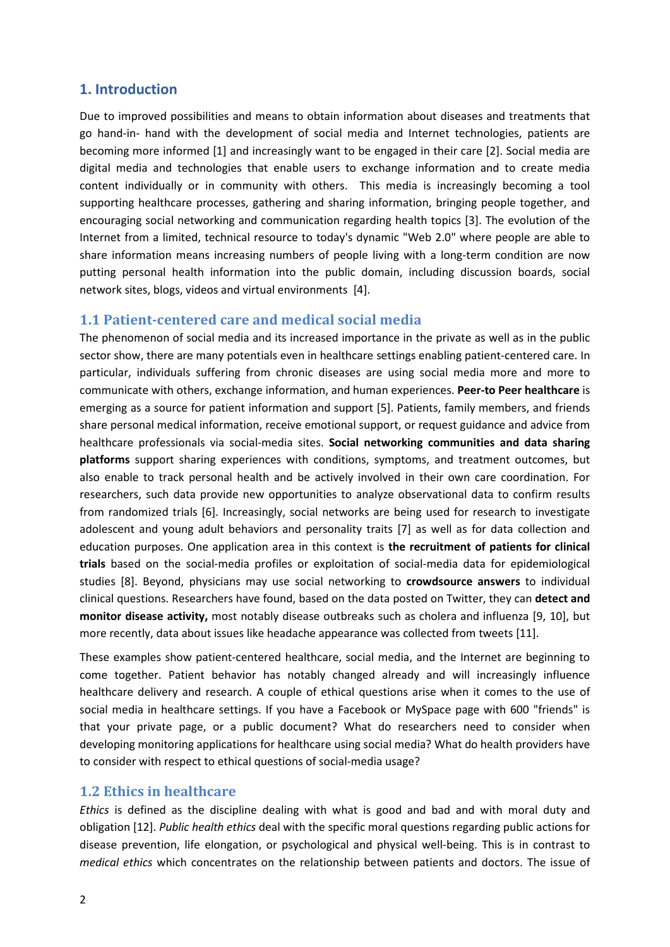### **1. Introduction**

Due to improved possibilities and means to obtain information about diseases and treatments that go hand-in- hand with the development of social media and Internet technologies, patients are becoming more informed [1] and increasingly want to be engaged in their care [2]. Social media are digital media and technologies that enable users to exchange information and to create media content individually or in community with others. This media is increasingly becoming a tool supporting healthcare processes, gathering and sharing information, bringing people together, and encouraging social networking and communication regarding health topics [3]. The evolution of the Internet from a limited, technical resource to today's dynamic "Web 2.0" where people are able to share information means increasing numbers of people living with a long-term condition are now putting personal health information into the public domain, including discussion boards, social network sites, blogs, videos and virtual environments [4].

### **1.1 Patient-centered care and medical social media**

The phenomenon of social media and its increased importance in the private as well as in the public sector show, there are many potentials even in healthcare settings enabling patient-centered care. In particular, individuals suffering from chronic diseases are using social media more and more to communicate with others, exchange information, and human experiences. **Peer-to Peer healthcare** is emerging as a source for patient information and support [5]. Patients, family members, and friends share personal medical information, receive emotional support, or request guidance and advice from healthcare professionals via social-media sites. **Social networking communities and data sharing platforms** support sharing experiences with conditions, symptoms, and treatment outcomes, but also enable to track personal health and be actively involved in their own care coordination. For researchers, such data provide new opportunities to analyze observational data to confirm results from randomized trials [6]. Increasingly, social networks are being used for research to investigate adolescent and young adult behaviors and personality traits [7] as well as for data collection and education purposes. One application area in this context is **the recruitment of patients for clinical trials** based on the social-media profiles or exploitation of social-media data for epidemiological studies [8]. Beyond, physicians may use social networking to **crowdsource answers** to individual clinical questions. Researchers have found, based on the data posted on Twitter, they can **detect and monitor disease activity,** most notably disease outbreaks such as cholera and influenza [9, 10], but more recently, data about issues like headache appearance was collected from tweets [11].

These examples show patient-centered healthcare, social media, and the Internet are beginning to come together. Patient behavior has notably changed already and will increasingly influence healthcare delivery and research. A couple of ethical questions arise when it comes to the use of social media in healthcare settings. If you have a Facebook or MySpace page with 600 "friends" is that your private page, or a public document? What do researchers need to consider when developing monitoring applications for healthcare using social media? What do health providers have to consider with respect to ethical questions of social-media usage?

### **1.2 Ethics in healthcare**

*Ethics* is defined as the discipline dealing with what is good and bad and with moral duty and obligation [12]. *Public health ethics* deal with the specific moral questions regarding public actions for disease prevention, life elongation, or psychological and physical well-being. This is in contrast to *medical ethics* which concentrates on the relationship between patients and doctors. The issue of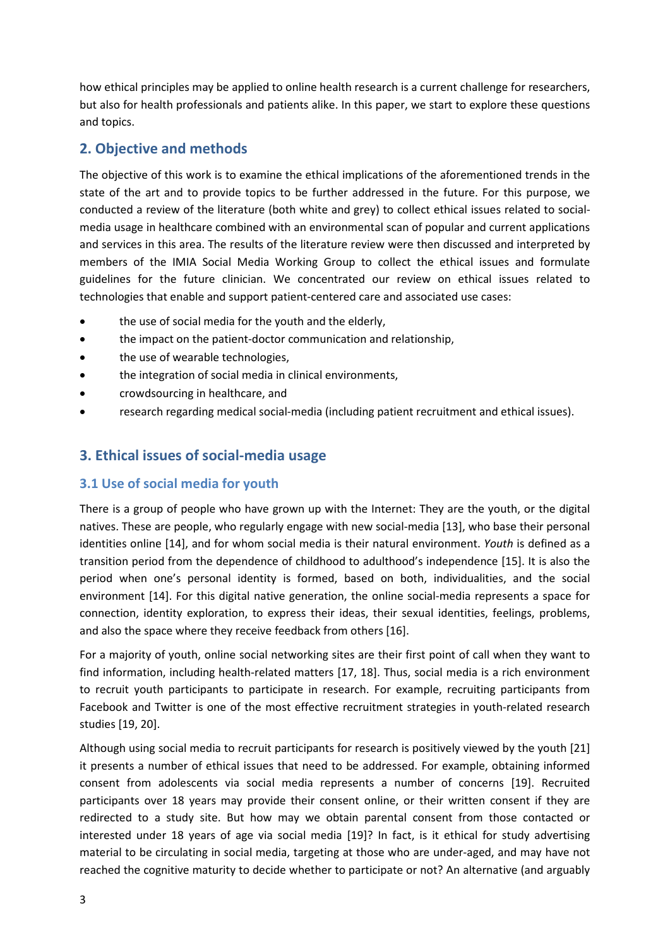how ethical principles may be applied to online health research is a current challenge for researchers, but also for health professionals and patients alike. In this paper, we start to explore these questions and topics.

# **2. Objective and methods**

The objective of this work is to examine the ethical implications of the aforementioned trends in the state of the art and to provide topics to be further addressed in the future. For this purpose, we conducted a review of the literature (both white and grey) to collect ethical issues related to socialmedia usage in healthcare combined with an environmental scan of popular and current applications and services in this area. The results of the literature review were then discussed and interpreted by members of the IMIA Social Media Working Group to collect the ethical issues and formulate guidelines for the future clinician. We concentrated our review on ethical issues related to technologies that enable and support patient-centered care and associated use cases:

- the use of social media for the youth and the elderly,
- the impact on the patient-doctor communication and relationship,
- the use of wearable technologies,
- the integration of social media in clinical environments,
- crowdsourcing in healthcare, and
- research regarding medical social-media (including patient recruitment and ethical issues).

# **3. Ethical issues of social-media usage**

# **3.1 Use of social media for youth**

There is a group of people who have grown up with the Internet: They are the youth, or the digital natives. These are people, who regularly engage with new social-media [13], who base their personal identities online [14], and for whom social media is their natural environment. *Youth* is defined as a transition period from the dependence of childhood to adulthood's independence [15]. It is also the period when one's personal identity is formed, based on both, individualities, and the social environment [14]. For this digital native generation, the online social-media represents a space for connection, identity exploration, to express their ideas, their sexual identities, feelings, problems, and also the space where they receive feedback from others [16].

For a majority of youth, online social networking sites are their first point of call when they want to find information, including health-related matters [17, 18]. Thus, social media is a rich environment to recruit youth participants to participate in research. For example, recruiting participants from Facebook and Twitter is one of the most effective recruitment strategies in youth-related research studies [19, 20].

Although using social media to recruit participants for research is positively viewed by the youth [21] it presents a number of ethical issues that need to be addressed. For example, obtaining informed consent from adolescents via social media represents a number of concerns [19]. Recruited participants over 18 years may provide their consent online, or their written consent if they are redirected to a study site. But how may we obtain parental consent from those contacted or interested under 18 years of age via social media [19]? In fact, is it ethical for study advertising material to be circulating in social media, targeting at those who are under-aged, and may have not reached the cognitive maturity to decide whether to participate or not? An alternative (and arguably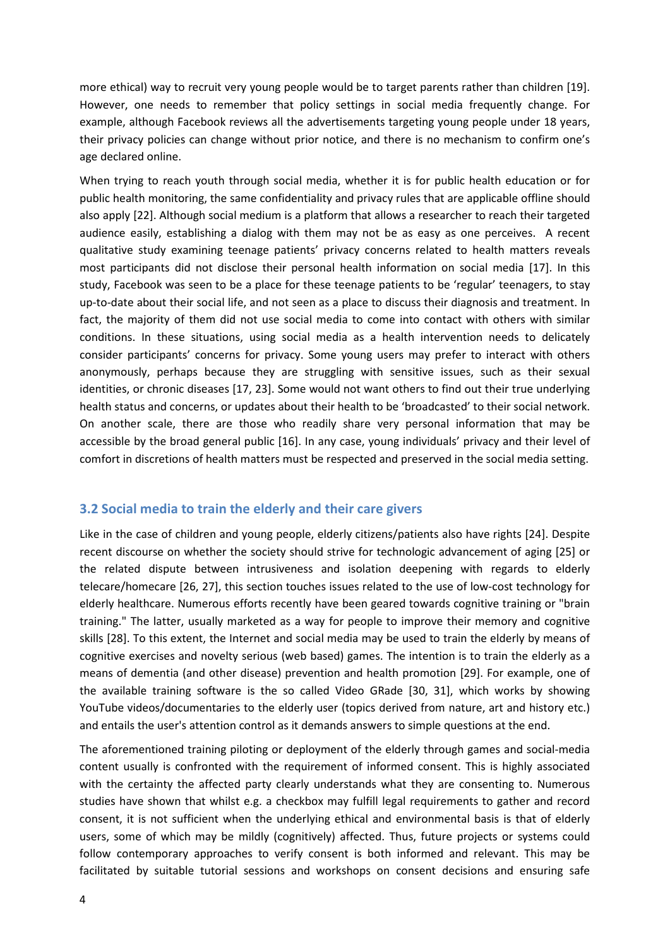more ethical) way to recruit very young people would be to target parents rather than children [19]. However, one needs to remember that policy settings in social media frequently change. For example, although Facebook reviews all the advertisements targeting young people under 18 years, their privacy policies can change without prior notice, and there is no mechanism to confirm one's age declared online.

When trying to reach youth through social media, whether it is for public health education or for public health monitoring, the same confidentiality and privacy rules that are applicable offline should also apply [22]. Although social medium is a platform that allows a researcher to reach their targeted audience easily, establishing a dialog with them may not be as easy as one perceives. A recent qualitative study examining teenage patients' privacy concerns related to health matters reveals most participants did not disclose their personal health information on social media [17]. In this study, Facebook was seen to be a place for these teenage patients to be 'regular' teenagers, to stay up-to-date about their social life, and not seen as a place to discuss their diagnosis and treatment. In fact, the majority of them did not use social media to come into contact with others with similar conditions. In these situations, using social media as a health intervention needs to delicately consider participants' concerns for privacy. Some young users may prefer to interact with others anonymously, perhaps because they are struggling with sensitive issues, such as their sexual identities, or chronic diseases [17, 23]. Some would not want others to find out their true underlying health status and concerns, or updates about their health to be 'broadcasted' to their social network. On another scale, there are those who readily share very personal information that may be accessible by the broad general public [16]. In any case, young individuals' privacy and their level of comfort in discretions of health matters must be respected and preserved in the social media setting.

#### **3.2 Social media to train the elderly and their care givers**

Like in the case of children and young people, elderly citizens/patients also have rights [24]. Despite recent discourse on whether the society should strive for technologic advancement of aging [25] or the related dispute between intrusiveness and isolation deepening with regards to elderly telecare/homecare [26, 27], this section touches issues related to the use of low-cost technology for elderly healthcare. Numerous efforts recently have been geared towards cognitive training or "brain training." The latter, usually marketed as a way for people to improve their memory and cognitive skills [28]. To this extent, the Internet and social media may be used to train the elderly by means of cognitive exercises and novelty serious (web based) games. The intention is to train the elderly as a means of dementia (and other disease) prevention and health promotion [29]. For example, one of the available training software is the so called Video GRade [30, 31], which works by showing YouTube videos/documentaries to the elderly user (topics derived from nature, art and history etc.) and entails the user's attention control as it demands answers to simple questions at the end.

The aforementioned training piloting or deployment of the elderly through games and social-media content usually is confronted with the requirement of informed consent. This is highly associated with the certainty the affected party clearly understands what they are consenting to. Numerous studies have shown that whilst e.g. a checkbox may fulfill legal requirements to gather and record consent, it is not sufficient when the underlying ethical and environmental basis is that of elderly users, some of which may be mildly (cognitively) affected. Thus, future projects or systems could follow contemporary approaches to verify consent is both informed and relevant. This may be facilitated by suitable tutorial sessions and workshops on consent decisions and ensuring safe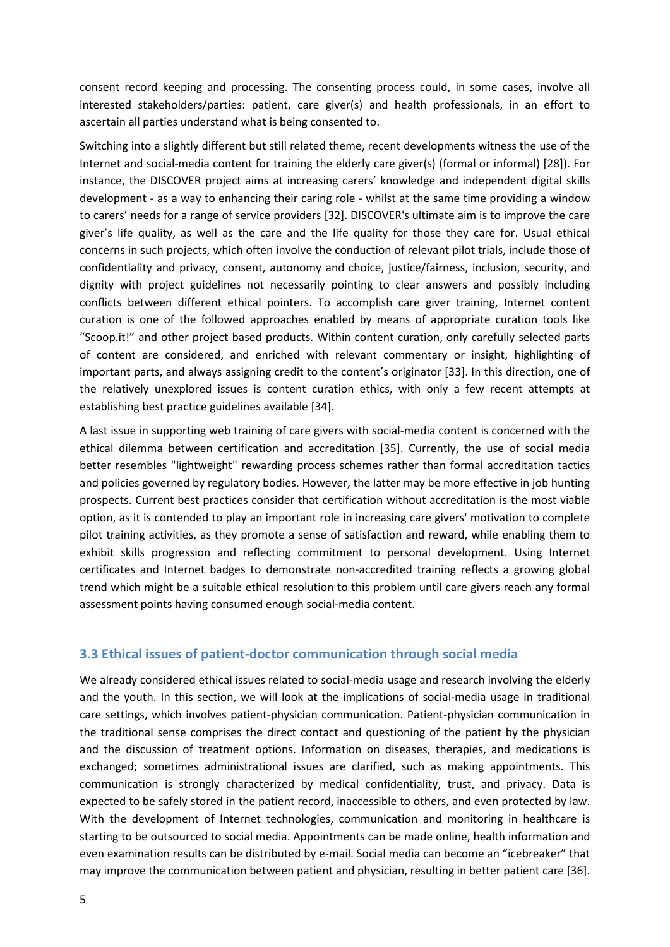consent record keeping and processing. The consenting process could, in some cases, involve all interested stakeholders/parties: patient, care giver(s) and health professionals, in an effort to ascertain all parties understand what is being consented to.

Switching into a slightly different but still related theme, recent developments witness the use of the Internet and social-media content for training the elderly care giver(s) (formal or informal) [28]). For instance, the DISCOVER project aims at increasing carers' knowledge and independent digital skills development - as a way to enhancing their caring role - whilst at the same time providing a window to carers' needs for a range of service providers [32]. DISCOVER's ultimate aim is to improve the care giver's life quality, as well as the care and the life quality for those they care for. Usual ethical concerns in such projects, which often involve the conduction of relevant pilot trials, include those of confidentiality and privacy, consent, autonomy and choice, justice/fairness, inclusion, security, and dignity with project guidelines not necessarily pointing to clear answers and possibly including conflicts between different ethical pointers. To accomplish care giver training, Internet content curation is one of the followed approaches enabled by means of appropriate curation tools like "Scoop.it!" and other project based products. Within content curation, only carefully selected parts of content are considered, and enriched with relevant commentary or insight, highlighting of important parts, and always assigning credit to the content's originator [33]. In this direction, one of the relatively unexplored issues is content curation ethics, with only a few recent attempts at establishing best practice guidelines available [34].

A last issue in supporting web training of care givers with social-media content is concerned with the ethical dilemma between certification and accreditation [35]. Currently, the use of social media better resembles "lightweight" rewarding process schemes rather than formal accreditation tactics and policies governed by regulatory bodies. However, the latter may be more effective in job hunting prospects. Current best practices consider that certification without accreditation is the most viable option, as it is contended to play an important role in increasing care givers' motivation to complete pilot training activities, as they promote a sense of satisfaction and reward, while enabling them to exhibit skills progression and reflecting commitment to personal development. Using Internet certificates and Internet badges to demonstrate non-accredited training reflects a growing global trend which might be a suitable ethical resolution to this problem until care givers reach any formal assessment points having consumed enough social-media content.

# **3.3 Ethical issues of patient-doctor communication through social media**

We already considered ethical issues related to social-media usage and research involving the elderly and the youth. In this section, we will look at the implications of social-media usage in traditional care settings, which involves patient-physician communication. Patient-physician communication in the traditional sense comprises the direct contact and questioning of the patient by the physician and the discussion of treatment options. Information on diseases, therapies, and medications is exchanged; sometimes administrational issues are clarified, such as making appointments. This communication is strongly characterized by medical confidentiality, trust, and privacy. Data is expected to be safely stored in the patient record, inaccessible to others, and even protected by law. With the development of Internet technologies, communication and monitoring in healthcare is starting to be outsourced to social media. Appointments can be made online, health information and even examination results can be distributed by e-mail. Social media can become an "icebreaker" that may improve the communication between patient and physician, resulting in better patient care [36].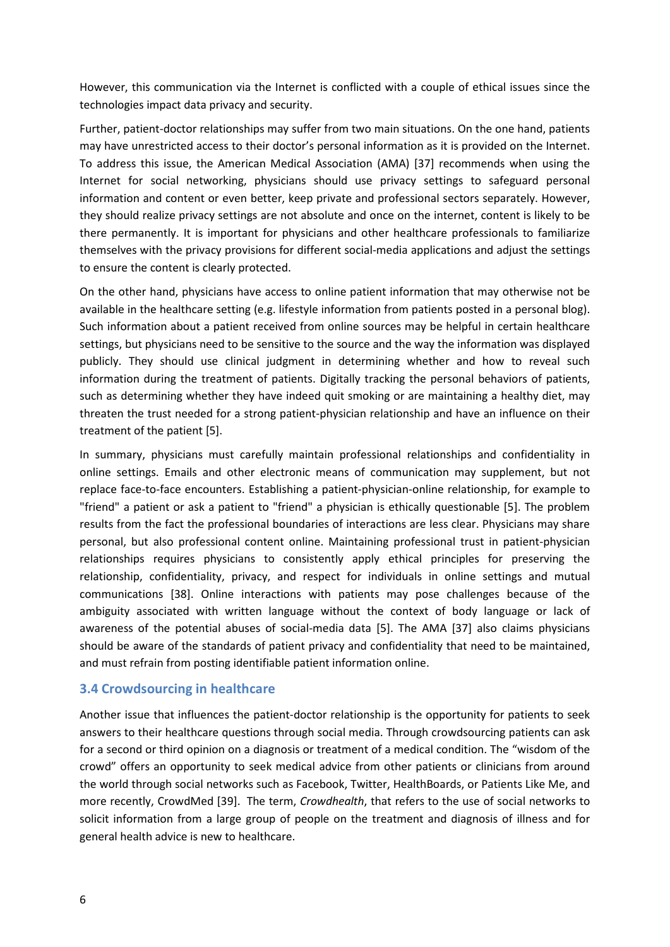However, this communication via the Internet is conflicted with a couple of ethical issues since the technologies impact data privacy and security.

Further, patient-doctor relationships may suffer from two main situations. On the one hand, patients may have unrestricted access to their doctor's personal information as it is provided on the Internet. To address this issue, the American Medical Association (AMA) [37] recommends when using the Internet for social networking, physicians should use privacy settings to safeguard personal information and content or even better, keep private and professional sectors separately. However, they should realize privacy settings are not absolute and once on the internet, content is likely to be there permanently. It is important for physicians and other healthcare professionals to familiarize themselves with the privacy provisions for different social-media applications and adjust the settings to ensure the content is clearly protected.

On the other hand, physicians have access to online patient information that may otherwise not be available in the healthcare setting (e.g. lifestyle information from patients posted in a personal blog). Such information about a patient received from online sources may be helpful in certain healthcare settings, but physicians need to be sensitive to the source and the way the information was displayed publicly. They should use clinical judgment in determining whether and how to reveal such information during the treatment of patients. Digitally tracking the personal behaviors of patients, such as determining whether they have indeed quit smoking or are maintaining a healthy diet, may threaten the trust needed for a strong patient-physician relationship and have an influence on their treatment of the patient [5].

In summary, physicians must carefully maintain professional relationships and confidentiality in online settings. Emails and other electronic means of communication may supplement, but not replace face-to-face encounters. Establishing a patient-physician-online relationship, for example to "friend" a patient or ask a patient to "friend" a physician is ethically questionable [5]. The problem results from the fact the professional boundaries of interactions are less clear. Physicians may share personal, but also professional content online. Maintaining professional trust in patient-physician relationships requires physicians to consistently apply ethical principles for preserving the relationship, confidentiality, privacy, and respect for individuals in online settings and mutual communications [38]. Online interactions with patients may pose challenges because of the ambiguity associated with written language without the context of body language or lack of awareness of the potential abuses of social-media data [5]. The AMA [37] also claims physicians should be aware of the standards of patient privacy and confidentiality that need to be maintained, and must refrain from posting identifiable patient information online.

# **3.4 Crowdsourcing in healthcare**

Another issue that influences the patient-doctor relationship is the opportunity for patients to seek answers to their healthcare questions through social media. Through crowdsourcing patients can ask for a second or third opinion on a diagnosis or treatment of a medical condition. The "wisdom of the crowd" offers an opportunity to seek medical advice from other patients or clinicians from around the world through social networks such as Facebook, Twitter, HealthBoards, or Patients Like Me, and more recently, CrowdMed [39]. The term, *Crowdhealth*, that refers to the use of social networks to solicit information from a large group of people on the treatment and diagnosis of illness and for general health advice is new to healthcare.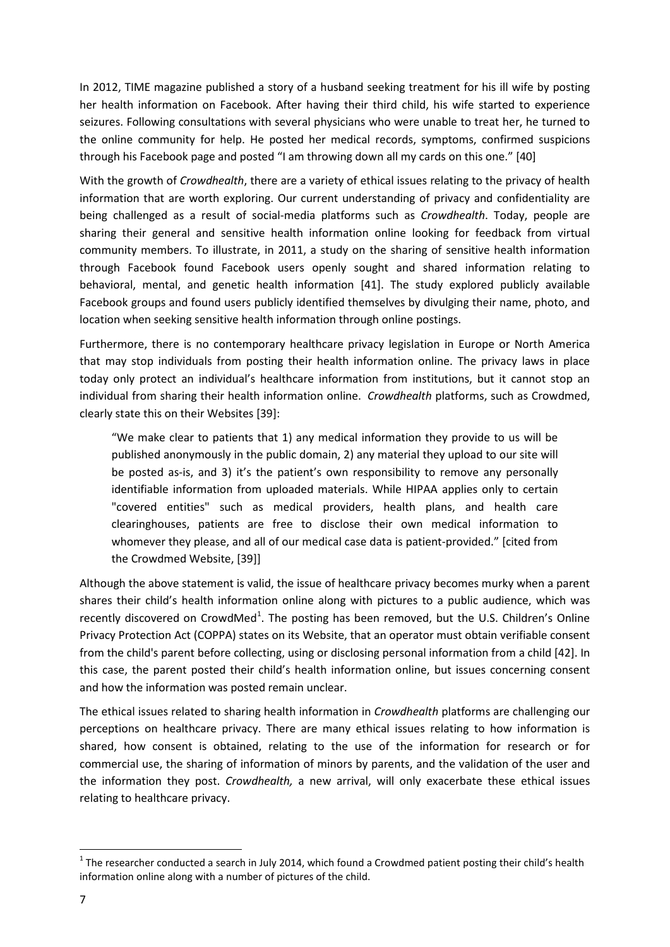In 2012, TIME magazine published a story of a husband seeking treatment for his ill wife by posting her health information on Facebook. After having their third child, his wife started to experience seizures. Following consultations with several physicians who were unable to treat her, he turned to the online community for help. He posted her medical records, symptoms, confirmed suspicions through his Facebook page and posted "I am throwing down all my cards on this one." [40]

With the growth of *Crowdhealth*, there are a variety of ethical issues relating to the privacy of health information that are worth exploring. Our current understanding of privacy and confidentiality are being challenged as a result of social-media platforms such as *Crowdhealth*. Today, people are sharing their general and sensitive health information online looking for feedback from virtual community members. To illustrate, in 2011, a study on the sharing of sensitive health information through Facebook found Facebook users openly sought and shared information relating to behavioral, mental, and genetic health information [41]. The study explored publicly available Facebook groups and found users publicly identified themselves by divulging their name, photo, and location when seeking sensitive health information through online postings.

Furthermore, there is no contemporary healthcare privacy legislation in Europe or North America that may stop individuals from posting their health information online. The privacy laws in place today only protect an individual's healthcare information from institutions, but it cannot stop an individual from sharing their health information online. *Crowdhealth* platforms, such as Crowdmed, clearly state this on their Websites [39]:

"We make clear to patients that 1) any medical information they provide to us will be published anonymously in the public domain, 2) any material they upload to our site will be posted as-is, and 3) it's the patient's own responsibility to remove any personally identifiable information from uploaded materials. While HIPAA applies only to certain "covered entities" such as medical providers, health plans, and health care clearinghouses, patients are free to disclose their own medical information to whomever they please, and all of our medical case data is patient-provided." [cited from the Crowdmed Website, [39]]

Although the above statement is valid, the issue of healthcare privacy becomes murky when a parent shares their child's health information online along with pictures to a public audience, which was recently discovered on CrowdMed<sup>[1](#page-6-0)</sup>. The posting has been removed, but the U.S. Children's Online Privacy Protection Act (COPPA) states on its Website, that an operator must obtain verifiable consent from the child's parent before collecting, using or disclosing personal information from a child [42]. In this case, the parent posted their child's health information online, but issues concerning consent and how the information was posted remain unclear.

The ethical issues related to sharing health information in *Crowdhealth* platforms are challenging our perceptions on healthcare privacy. There are many ethical issues relating to how information is shared, how consent is obtained, relating to the use of the information for research or for commercial use, the sharing of information of minors by parents, and the validation of the user and the information they post. *Crowdhealth,* a new arrival, will only exacerbate these ethical issues relating to healthcare privacy.

 $\overline{a}$ 

<span id="page-6-0"></span> $1$  The researcher conducted a search in July 2014, which found a Crowdmed patient posting their child's health information online along with a number of pictures of the child.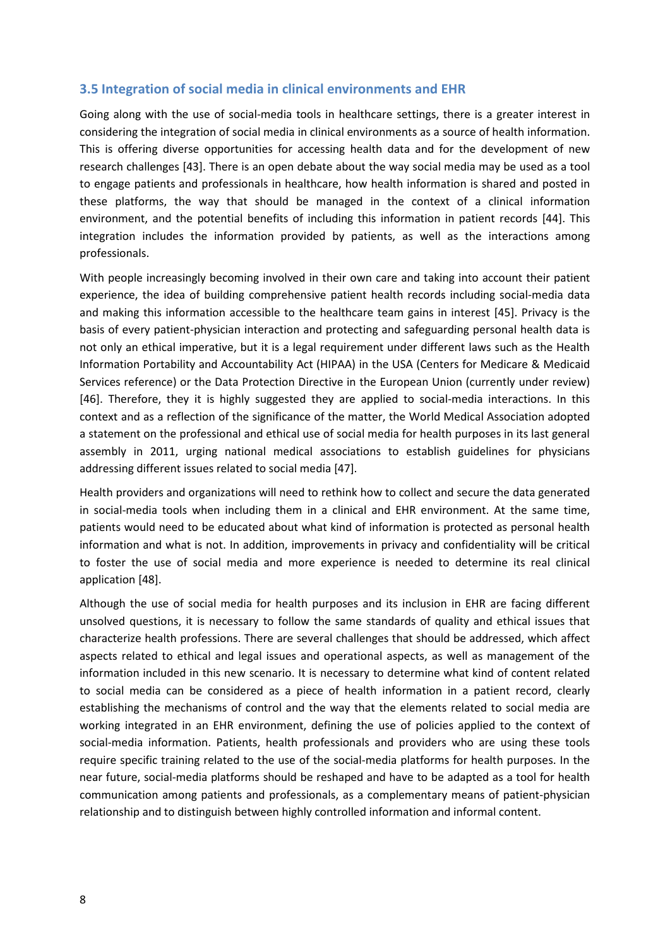### **3.5 Integration of social media in clinical environments and EHR**

Going along with the use of social-media tools in healthcare settings, there is a greater interest in considering the integration of social media in clinical environments as a source of health information. This is offering diverse opportunities for accessing health data and for the development of new research challenges [43]. There is an open debate about the way social media may be used as a tool to engage patients and professionals in healthcare, how health information is shared and posted in these platforms, the way that should be managed in the context of a clinical information environment, and the potential benefits of including this information in patient records [44]. This integration includes the information provided by patients, as well as the interactions among professionals.

With people increasingly becoming involved in their own care and taking into account their patient experience, the idea of building comprehensive patient health records including social-media data and making this information accessible to the healthcare team gains in interest [45]. Privacy is the basis of every patient-physician interaction and protecting and safeguarding personal health data is not only an ethical imperative, but it is a legal requirement under different laws such as the Health Information Portability and Accountability Act (HIPAA) in the USA (Centers for Medicare & Medicaid Services reference) or the Data Protection Directive in the European Union (currently under review) [46]. Therefore, they it is highly suggested they are applied to social-media interactions. In this context and as a reflection of the significance of the matter, the World Medical Association adopted a statement on the professional and ethical use of social media for health purposes in its last general assembly in 2011, urging national medical associations to establish guidelines for physicians addressing different issues related to social media [47].

Health providers and organizations will need to rethink how to collect and secure the data generated in social-media tools when including them in a clinical and EHR environment. At the same time, patients would need to be educated about what kind of information is protected as personal health information and what is not. In addition, improvements in privacy and confidentiality will be critical to foster the use of social media and more experience is needed to determine its real clinical application [48].

Although the use of social media for health purposes and its inclusion in EHR are facing different unsolved questions, it is necessary to follow the same standards of quality and ethical issues that characterize health professions. There are several challenges that should be addressed, which affect aspects related to ethical and legal issues and operational aspects, as well as management of the information included in this new scenario. It is necessary to determine what kind of content related to social media can be considered as a piece of health information in a patient record, clearly establishing the mechanisms of control and the way that the elements related to social media are working integrated in an EHR environment, defining the use of policies applied to the context of social-media information. Patients, health professionals and providers who are using these tools require specific training related to the use of the social-media platforms for health purposes. In the near future, social-media platforms should be reshaped and have to be adapted as a tool for health communication among patients and professionals, as a complementary means of patient-physician relationship and to distinguish between highly controlled information and informal content.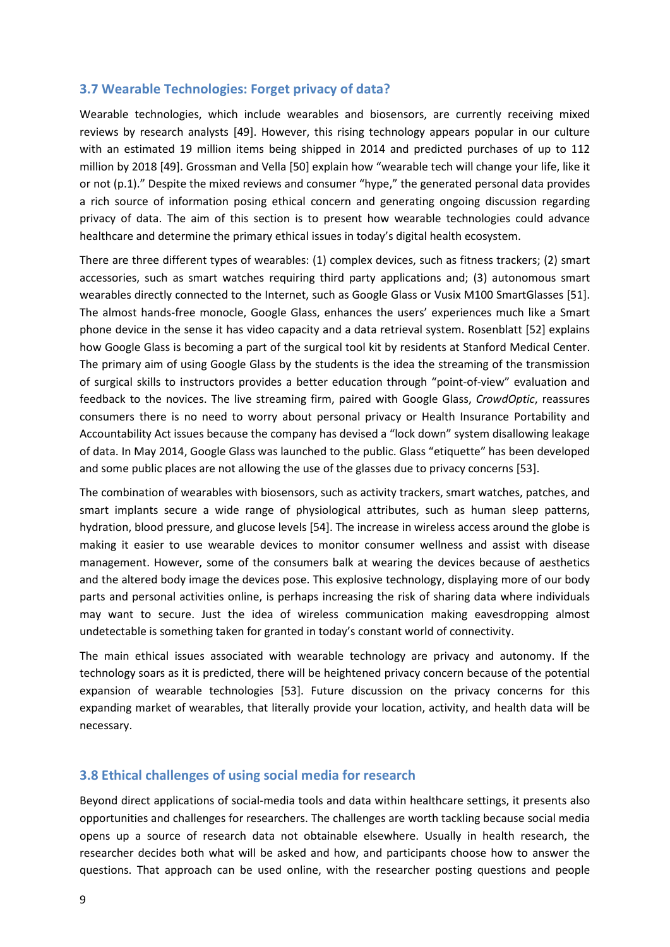### **3.7 Wearable Technologies: Forget privacy of data?**

Wearable technologies, which include wearables and biosensors, are currently receiving mixed reviews by research analysts [49]. However, this rising technology appears popular in our culture with an estimated 19 million items being shipped in 2014 and predicted purchases of up to 112 million by 2018 [49]. Grossman and Vella [50] explain how "wearable tech will change your life, like it or not (p.1)." Despite the mixed reviews and consumer "hype," the generated personal data provides a rich source of information posing ethical concern and generating ongoing discussion regarding privacy of data. The aim of this section is to present how wearable technologies could advance healthcare and determine the primary ethical issues in today's digital health ecosystem.

There are three different types of wearables: (1) complex devices, such as fitness trackers; (2) smart accessories, such as smart watches requiring third party applications and; (3) autonomous smart wearables directly connected to the Internet, such as Google Glass or Vusix M100 SmartGlasses [51]. The almost hands-free monocle, Google Glass, enhances the users' experiences much like a Smart phone device in the sense it has video capacity and a data retrieval system. Rosenblatt [52] explains how Google Glass is becoming a part of the surgical tool kit by residents at Stanford Medical Center. The primary aim of using Google Glass by the students is the idea the streaming of the transmission of surgical skills to instructors provides a better education through "point-of-view" evaluation and feedback to the novices. The live streaming firm, paired with Google Glass, *CrowdOptic*, reassures consumers there is no need to worry about personal privacy or Health Insurance Portability and Accountability Act issues because the company has devised a "lock down" system disallowing leakage of data. In May 2014, Google Glass was launched to the public. Glass "etiquette" has been developed and some public places are not allowing the use of the glasses due to privacy concerns [53].

The combination of wearables with biosensors, such as activity trackers, smart watches, patches, and smart implants secure a wide range of physiological attributes, such as human sleep patterns, hydration, blood pressure, and glucose levels [54]. The increase in wireless access around the globe is making it easier to use wearable devices to monitor consumer wellness and assist with disease management. However, some of the consumers balk at wearing the devices because of aesthetics and the altered body image the devices pose. This explosive technology, displaying more of our body parts and personal activities online, is perhaps increasing the risk of sharing data where individuals may want to secure. Just the idea of wireless communication making eavesdropping almost undetectable is something taken for granted in today's constant world of connectivity.

The main ethical issues associated with wearable technology are privacy and autonomy. If the technology soars as it is predicted, there will be heightened privacy concern because of the potential expansion of wearable technologies [53]. Future discussion on the privacy concerns for this expanding market of wearables, that literally provide your location, activity, and health data will be necessary.

#### **3.8 Ethical challenges of using social media for research**

Beyond direct applications of social-media tools and data within healthcare settings, it presents also opportunities and challenges for researchers. The challenges are worth tackling because social media opens up a source of research data not obtainable elsewhere. Usually in health research, the researcher decides both what will be asked and how, and participants choose how to answer the questions. That approach can be used online, with the researcher posting questions and people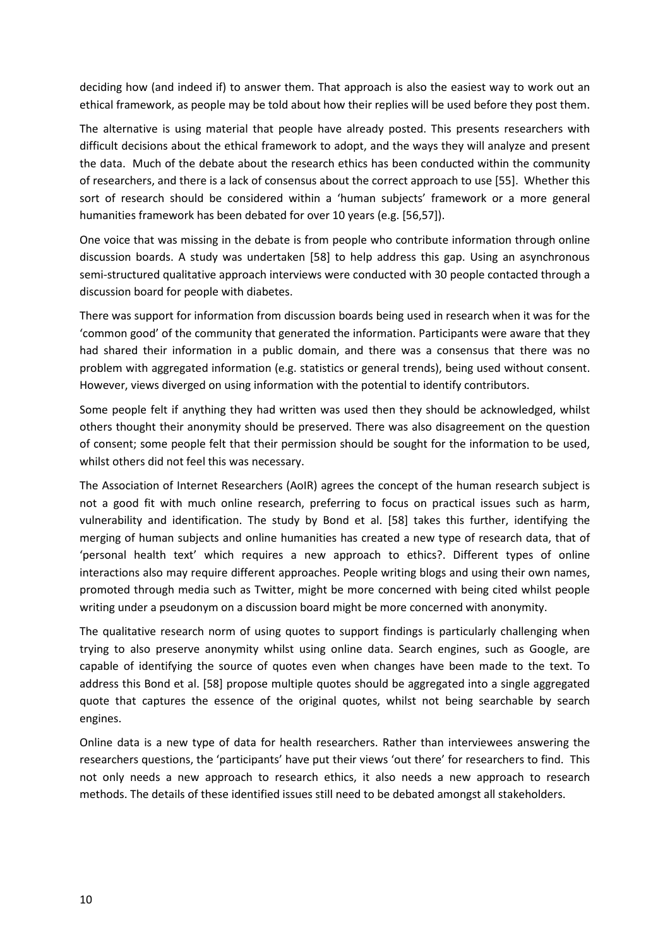deciding how (and indeed if) to answer them. That approach is also the easiest way to work out an ethical framework, as people may be told about how their replies will be used before they post them.

The alternative is using material that people have already posted. This presents researchers with difficult decisions about the ethical framework to adopt, and the ways they will analyze and present the data. Much of the debate about the research ethics has been conducted within the community of researchers, and there is a lack of consensus about the correct approach to use [55]. Whether this sort of research should be considered within a 'human subjects' framework or a more general humanities framework has been debated for over 10 years (e.g. [56,57]).

One voice that was missing in the debate is from people who contribute information through online discussion boards. A study was undertaken [58] to help address this gap. Using an asynchronous semi-structured qualitative approach interviews were conducted with 30 people contacted through a discussion board for people with diabetes.

There was support for information from discussion boards being used in research when it was for the 'common good' of the community that generated the information. Participants were aware that they had shared their information in a public domain, and there was a consensus that there was no problem with aggregated information (e.g. statistics or general trends), being used without consent. However, views diverged on using information with the potential to identify contributors.

Some people felt if anything they had written was used then they should be acknowledged, whilst others thought their anonymity should be preserved. There was also disagreement on the question of consent; some people felt that their permission should be sought for the information to be used, whilst others did not feel this was necessary.

The Association of Internet Researchers (AoIR) agrees the concept of the human research subject is not a good fit with much online research, preferring to focus on practical issues such as harm, vulnerability and identification. The study by Bond et al. [58] takes this further, identifying the merging of human subjects and online humanities has created a new type of research data, that of 'personal health text' which requires a new approach to ethics?. Different types of online interactions also may require different approaches. People writing blogs and using their own names, promoted through media such as Twitter, might be more concerned with being cited whilst people writing under a pseudonym on a discussion board might be more concerned with anonymity.

The qualitative research norm of using quotes to support findings is particularly challenging when trying to also preserve anonymity whilst using online data. Search engines, such as Google, are capable of identifying the source of quotes even when changes have been made to the text. To address this Bond et al. [58] propose multiple quotes should be aggregated into a single aggregated quote that captures the essence of the original quotes, whilst not being searchable by search engines.

Online data is a new type of data for health researchers. Rather than interviewees answering the researchers questions, the 'participants' have put their views 'out there' for researchers to find. This not only needs a new approach to research ethics, it also needs a new approach to research methods. The details of these identified issues still need to be debated amongst all stakeholders.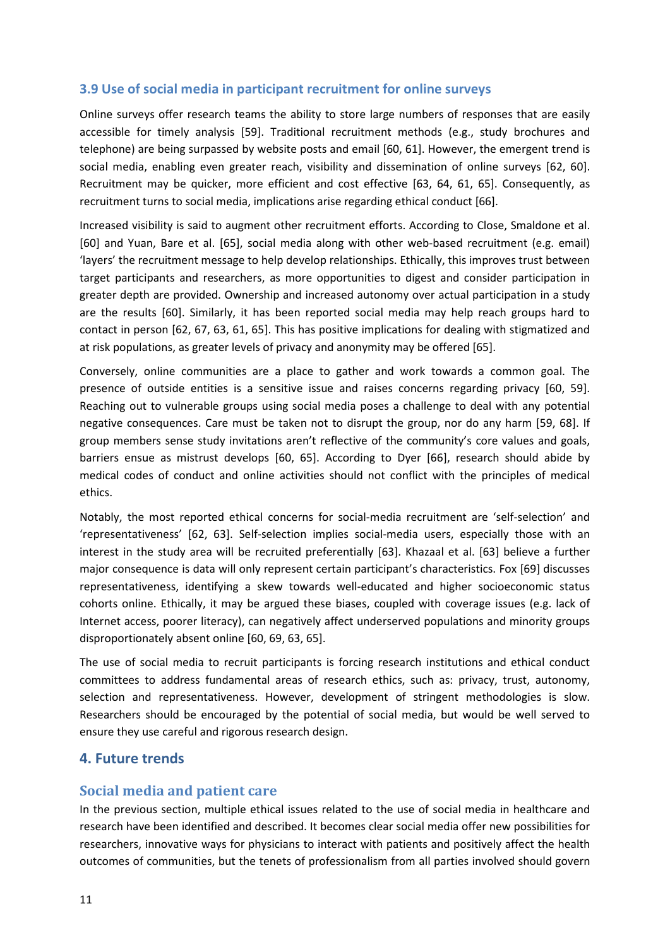## **3.9 Use of social media in participant recruitment for online surveys**

Online surveys offer research teams the ability to store large numbers of responses that are easily accessible for timely analysis [59]. Traditional recruitment methods (e.g., study brochures and telephone) are being surpassed by website posts and email [60, 61]. However, the emergent trend is social media, enabling even greater reach, visibility and dissemination of online surveys [62, 60]. Recruitment may be quicker, more efficient and cost effective [63, 64, 61, 65]. Consequently, as recruitment turns to social media, implications arise regarding ethical conduct [66].

Increased visibility is said to augment other recruitment efforts. According to Close, Smaldone et al. [60] and Yuan, Bare et al. [65], social media along with other web-based recruitment (e.g. email) 'layers' the recruitment message to help develop relationships. Ethically, this improves trust between target participants and researchers, as more opportunities to digest and consider participation in greater depth are provided. Ownership and increased autonomy over actual participation in a study are the results [60]. Similarly, it has been reported social media may help reach groups hard to contact in person [62, 67, 63, 61, 65]. This has positive implications for dealing with stigmatized and at risk populations, as greater levels of privacy and anonymity may be offered [65].

Conversely, online communities are a place to gather and work towards a common goal. The presence of outside entities is a sensitive issue and raises concerns regarding privacy [60, 59]. Reaching out to vulnerable groups using social media poses a challenge to deal with any potential negative consequences. Care must be taken not to disrupt the group, nor do any harm [59, 68]. If group members sense study invitations aren't reflective of the community's core values and goals, barriers ensue as mistrust develops [60, 65]. According to Dyer [66], research should abide by medical codes of conduct and online activities should not conflict with the principles of medical ethics.

Notably, the most reported ethical concerns for social-media recruitment are 'self-selection' and 'representativeness' [62, 63]. Self-selection implies social-media users, especially those with an interest in the study area will be recruited preferentially [63]. Khazaal et al. [63] believe a further major consequence is data will only represent certain participant's characteristics. Fox [69] discusses representativeness, identifying a skew towards well-educated and higher socioeconomic status cohorts online. Ethically, it may be argued these biases, coupled with coverage issues (e.g. lack of Internet access, poorer literacy), can negatively affect underserved populations and minority groups disproportionately absent online [60, 69, 63, 65].

The use of social media to recruit participants is forcing research institutions and ethical conduct committees to address fundamental areas of research ethics, such as: privacy, trust, autonomy, selection and representativeness. However, development of stringent methodologies is slow. Researchers should be encouraged by the potential of social media, but would be well served to ensure they use careful and rigorous research design.

# **4. Future trends**

# **Social media and patient care**

In the previous section, multiple ethical issues related to the use of social media in healthcare and research have been identified and described. It becomes clear social media offer new possibilities for researchers, innovative ways for physicians to interact with patients and positively affect the health outcomes of communities, but the tenets of professionalism from all parties involved should govern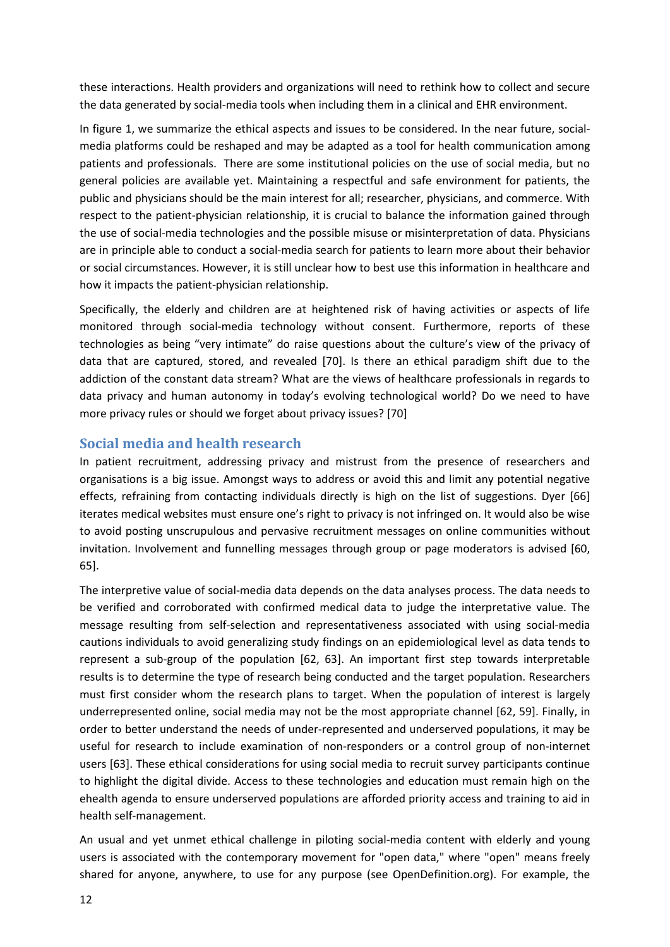these interactions. Health providers and organizations will need to rethink how to collect and secure the data generated by social-media tools when including them in a clinical and EHR environment.

In figure 1, we summarize the ethical aspects and issues to be considered. In the near future, socialmedia platforms could be reshaped and may be adapted as a tool for health communication among patients and professionals. There are some institutional policies on the use of social media, but no general policies are available yet. Maintaining a respectful and safe environment for patients, the public and physicians should be the main interest for all; researcher, physicians, and commerce. With respect to the patient-physician relationship, it is crucial to balance the information gained through the use of social-media technologies and the possible misuse or misinterpretation of data. Physicians are in principle able to conduct a social-media search for patients to learn more about their behavior or social circumstances. However, it is still unclear how to best use this information in healthcare and how it impacts the patient-physician relationship.

Specifically, the elderly and children are at heightened risk of having activities or aspects of life monitored through social-media technology without consent. Furthermore, reports of these technologies as being "very intimate" do raise questions about the culture's view of the privacy of data that are captured, stored, and revealed [70]. Is there an ethical paradigm shift due to the addiction of the constant data stream? What are the views of healthcare professionals in regards to data privacy and human autonomy in today's evolving technological world? Do we need to have more privacy rules or should we forget about privacy issues? [70]

# **Social media and health research**

In patient recruitment, addressing privacy and mistrust from the presence of researchers and organisations is a big issue. Amongst ways to address or avoid this and limit any potential negative effects, refraining from contacting individuals directly is high on the list of suggestions. Dyer [66] iterates medical websites must ensure one's right to privacy is not infringed on. It would also be wise to avoid posting unscrupulous and pervasive recruitment messages on online communities without invitation. Involvement and funnelling messages through group or page moderators is advised [60, 65].

The interpretive value of social-media data depends on the data analyses process. The data needs to be verified and corroborated with confirmed medical data to judge the interpretative value. The message resulting from self-selection and representativeness associated with using social-media cautions individuals to avoid generalizing study findings on an epidemiological level as data tends to represent a sub-group of the population [62, 63]. An important first step towards interpretable results is to determine the type of research being conducted and the target population. Researchers must first consider whom the research plans to target. When the population of interest is largely underrepresented online, social media may not be the most appropriate channel [62, 59]. Finally, in order to better understand the needs of under-represented and underserved populations, it may be useful for research to include examination of non-responders or a control group of non-internet users [63]. These ethical considerations for using social media to recruit survey participants continue to highlight the digital divide. Access to these technologies and education must remain high on the ehealth agenda to ensure underserved populations are afforded priority access and training to aid in health self-management.

An usual and yet unmet ethical challenge in piloting social-media content with elderly and young users is associated with the contemporary movement for "open data," where "open" means freely shared for anyone, anywhere, to use for any purpose (see OpenDefinition.org). For example, the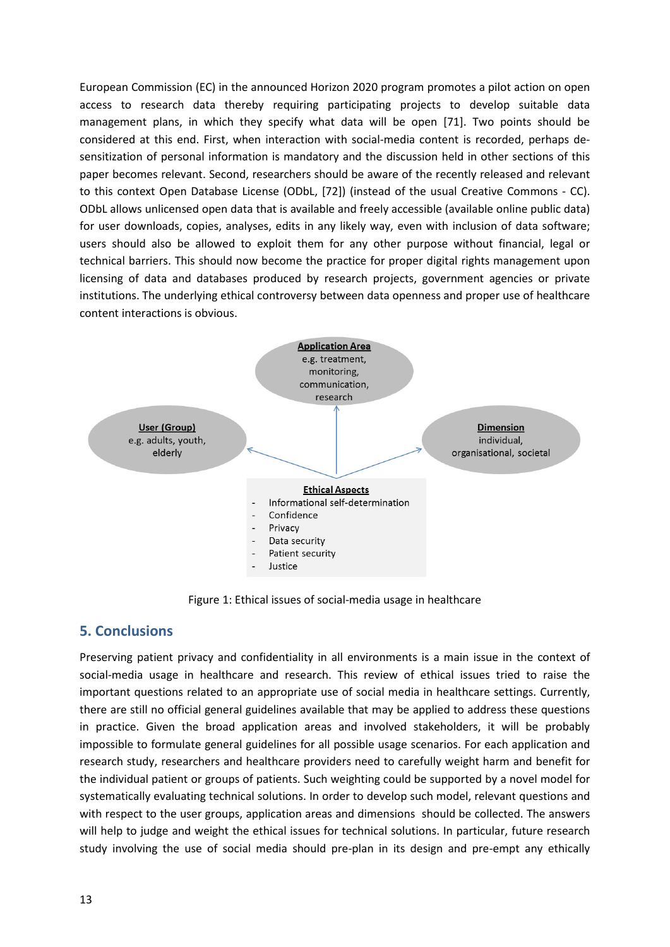European Commission (EC) in the announced Horizon 2020 program promotes a pilot action on open access to research data thereby requiring participating projects to develop suitable data management plans, in which they specify what data will be open [71]. Two points should be considered at this end. First, when interaction with social-media content is recorded, perhaps desensitization of personal information is mandatory and the discussion held in other sections of this paper becomes relevant. Second, researchers should be aware of the recently released and relevant to this context Open Database License (ODbL, [72]) (instead of the usual Creative Commons - CC). ODbL allows unlicensed open data that is available and freely accessible (available online public data) for user downloads, copies, analyses, edits in any likely way, even with inclusion of data software; users should also be allowed to exploit them for any other purpose without financial, legal or technical barriers. This should now become the practice for proper digital rights management upon licensing of data and databases produced by research projects, government agencies or private institutions. The underlying ethical controversy between data openness and proper use of healthcare content interactions is obvious.



Figure 1: Ethical issues of social-media usage in healthcare

# **5. Conclusions**

Preserving patient privacy and confidentiality in all environments is a main issue in the context of social-media usage in healthcare and research. This review of ethical issues tried to raise the important questions related to an appropriate use of social media in healthcare settings. Currently, there are still no official general guidelines available that may be applied to address these questions in practice. Given the broad application areas and involved stakeholders, it will be probably impossible to formulate general guidelines for all possible usage scenarios. For each application and research study, researchers and healthcare providers need to carefully weight harm and benefit for the individual patient or groups of patients. Such weighting could be supported by a novel model for systematically evaluating technical solutions. In order to develop such model, relevant questions and with respect to the user groups, application areas and dimensions should be collected. The answers will help to judge and weight the ethical issues for technical solutions. In particular, future research study involving the use of social media should pre-plan in its design and pre-empt any ethically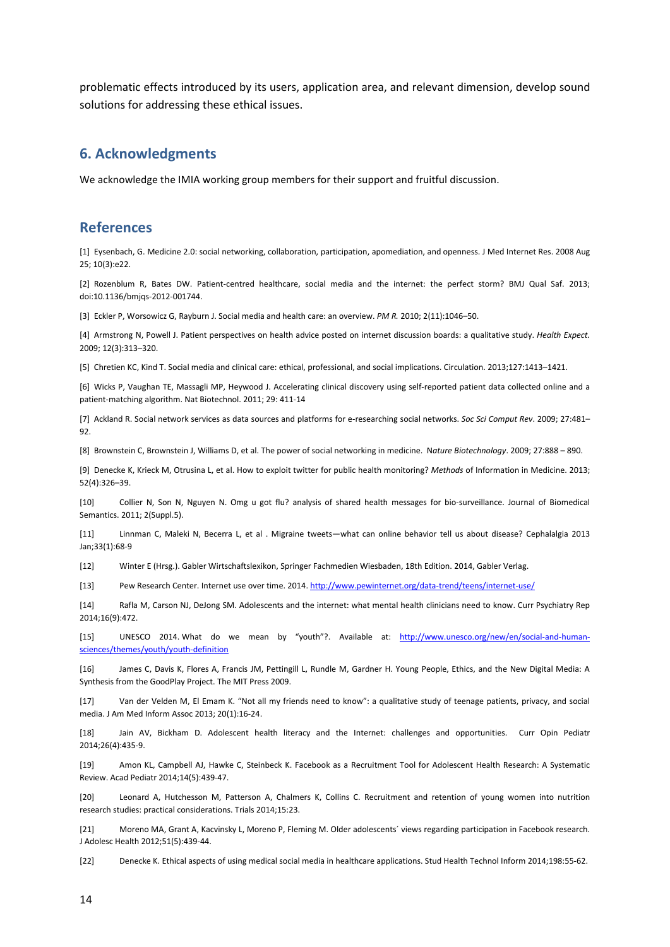problematic effects introduced by its users, application area, and relevant dimension, develop sound solutions for addressing these ethical issues.

#### **6. Acknowledgments**

We acknowledge the IMIA working group members for their support and fruitful discussion.

#### **References**

[1] Eysenbach, G. Medicine 2.0: social networking, collaboration, participation, apomediation, and openness. J Med Internet Res. 2008 Aug 25; 10(3):e22.

[2] Rozenblum R, Bates DW. Patient-centred healthcare, social media and the internet: the perfect storm? BMJ Qual Saf. 2013; doi:10.1136/bmjqs-2012-001744.

[3] Eckler P, Worsowicz G, Rayburn J. Social media and health care: an overview. *PM R.* 2010; 2(11):1046–50.

[4] Armstrong N, Powell J. Patient perspectives on health advice posted on internet discussion boards: a qualitative study. *Health Expect.*  2009; 12(3):313–320.

[5] Chretien KC, Kind T. Social media and clinical care: ethical, professional, and social implications. Circulation. 2013;127:1413–1421.

[6] Wicks P, Vaughan TE, Massagli MP, Heywood J. Accelerating clinical discovery using self-reported patient data collected online and a patient-matching algorithm. Nat Biotechnol. 2011; 29: 411-14

[7] Ackland R. Social network services as data sources and platforms for e-researching social networks. *Soc Sci Comput Rev*. 2009; 27:481– 92.

[8] Brownstein C, Brownstein J, Williams D, et al. The power of social networking in medicine. N*ature Biotechnology*. 2009; 27:888 – 890.

[9] Denecke K, Krieck M, Otrusina L, et al. How to exploit twitter for public health monitoring? *Methods* of Information in Medicine. 2013; 52(4):326–39.

[10] Collier N, Son N, Nguyen N. Omg u got flu? analysis of shared health messages for bio-surveillance. Journal of Biomedical Semantics. 2011; 2(Suppl.5).

[11] Linnman C, Maleki N, Becerra L, et al . Migraine tweets—what can online behavior tell us about disease? Cephalalgia 2013 Jan;33(1):68-9

[12] Winter E (Hrsg.). Gabler Wirtschaftslexikon, Springer Fachmedien Wiesbaden, 18th Edition. 2014, Gabler Verlag.

[13] Pew Research Center. Internet use over time. 2014[. http://www.pewinternet.org/data-trend/teens/internet-use/](https://vpn.uit.no/+CSCO+0h756767633A2F2F6A6A6A2E63726A76616772656172672E626574++/data-trend/teens/internet-use/)

[14] Rafla M, Carson NJ, DeJong SM. Adolescents and the internet: what mental health clinicians need to know. Curr Psychiatry Rep 2014;16(9):472.

[15] UNESCO 2014. What do we mean by "youth"?. Available at: [http://www.unesco.org/new/en/social-and-human](http://www.unesco.org/new/en/social-and-human-sciences/themes/youth/youth-definition)[sciences/themes/youth/youth-definition](http://www.unesco.org/new/en/social-and-human-sciences/themes/youth/youth-definition)

[16] James C, Davis K, Flores A, Francis JM, Pettingill L, Rundle M, Gardner H. Young People, Ethics, and the New Digital Media: A Synthesis from the GoodPlay Project. The MIT Press 2009.

[17] Van der Velden M, El Emam K. "Not all my friends need to know": a qualitative study of teenage patients, privacy, and social media. J Am Med Inform Assoc 2013; 20(1):16-24.

[18] Jain AV, Bickham D. Adolescent health literacy and the Internet: challenges and opportunities. Curr Opin Pediatr 2014;26(4):435-9.

[19] Amon KL, Campbell AJ, Hawke C, Steinbeck K. Facebook as a Recruitment Tool for Adolescent Health Research: A Systematic Review. Acad Pediatr 2014;14(5):439-47.

[20] Leonard A, Hutchesson M, Patterson A, Chalmers K, Collins C. Recruitment and retention of young women into nutrition research studies: practical considerations. Trials 2014;15:23.

[21] Moreno MA, Grant A, Kacvinsky L, Moreno P, Fleming M. Older adolescents´ views regarding participation in Facebook research. J Adolesc Health 2012;51(5):439-44.

[22] Denecke K. Ethical aspects of using medical social media in healthcare applications. Stud Health Technol Inform 2014;198:55-62.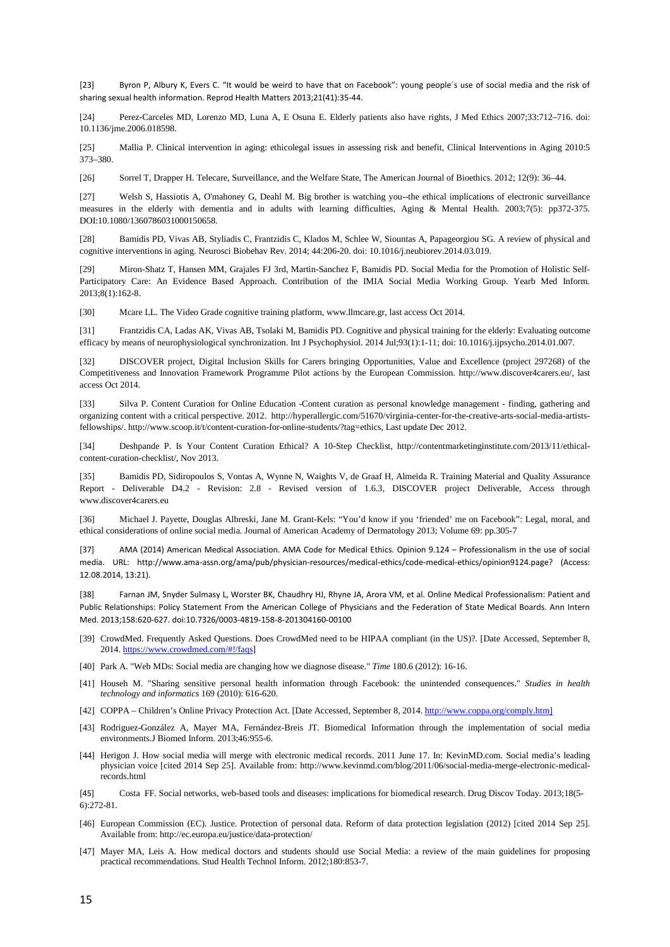[23] Byron P, Albury K, Evers C. "It would be weird to have that on Facebook": young people´s use of social media and the risk of sharing sexual health information. Reprod Health Matters 2013;21(41):35-44.

[24] Perez-Carceles MD, Lorenzo MD, Luna A, E Osuna E. Elderly patients also have rights, J Med Ethics 2007;33:712–716. doi: 10.1136/jme.2006.018598.

[25] Mallia P. Clinical intervention in aging: ethicolegal issues in assessing risk and benefit, Clinical Interventions in Aging 2010:5 373–380.

[26] Sorrel T, Drapper H. Telecare, Surveillance, and the Welfare State, The American Journal of Bioethics. 2012; 12(9): 36–44.

[27] Welsh S, Hassiotis A, O'mahoney G, Deahl M. Big brother is watching you--the ethical implications of electronic surveillance measures in the elderly with dementia and in adults with learning difficulties, Aging & Mental Health. 2003;7(5): pp372-375. DOI:10.1080/1360786031000150658.

[28] Bamidis PD, Vivas AB, Styliadis C, Frantzidis C, Klados M, Schlee W, Siountas A, Papageorgiou SG. A review of physical and cognitive interventions in aging. Neurosci Biobehav Rev. 2014; 44:206-20. doi: 10.1016/j.neubiorev.2014.03.019.

[29] Miron-Shatz T, Hansen MM, Grajales FJ 3rd, Martin-Sanchez F, Bamidis PD. Social Media for the Promotion of Holistic Self-Participatory Care: An Evidence Based Approach. Contribution of the IMIA Social Media Working Group. Yearb Med Inform. 2013;8(1):162-8.

[30] Mcare LL. The Video Grade cognitive training platform, www.llmcare.gr, last access Oct 2014.

[31] Frantzidis CA, Ladas AK, Vivas AB, Tsolaki M, Bamidis PD. Cognitive and physical training for the elderly: Evaluating outcome efficacy by means of neurophysiological synchronization. Int J Psychophysiol. 2014 Jul;93(1):1-11; doi: 10.1016/j.ijpsycho.2014.01.007.

[32] DISCOVER project, Digital Inclusion Skills for Carers bringing Opportunities, Value and Excellence (project 297268) of the Competitiveness and Innovation Framework Programme Pilot actions by the European Commission. http://www.discover4carers.eu/, last access Oct 2014.

[33] Silva P. Content Curation for Online Education -Content curation as personal knowledge management - finding, gathering and organizing content with a critical perspective. 2012. http://hyperallergic.com/51670/virginia-center-for-the-creative-arts-social-media-artistsfellowships/. http://www.scoop.it/t/content-curation-for-online-students/?tag=ethics, Last update Dec 2012.

[34] Deshpande P. Is Your Content Curation Ethical? A 10-Step Checklist, http://contentmarketinginstitute.com/2013/11/ethicalcontent-curation-checklist/, Nov 2013.

[35] Bamidis PD, Sidiropoulos S, Vontas A, Wynne N, Waights V, de Graaf H, Almeida R. Training Material and Quality Assurance Report - Deliverable D4.2 - Revision: 2.8 - Revised version of 1.6.3, DISCOVER project Deliverable, Access through www.discover4carers.eu

[36] Michael J. Payette, Douglas Albreski, Jane M. Grant-Kels: "You'd know if you 'friended' me on Facebook": Legal, moral, and ethical considerations of online social media. Journal of American Academy of Dermatology 2013; Volume 69: pp.305-7

[37] AMA (2014) American Medical Association. AMA Code for Medical Ethics. Opinion 9.124 – Professionalism in the use of social media. URL: http://www.ama-assn.org/ama/pub/physician-resources/medical-ethics/code-medical-ethics/opinion9124.page? (Access: 12.08.2014, 13:21).

[38] Farnan JM, Snyder Sulmasy L, Worster BK, Chaudhry HJ, Rhyne JA, Arora VM, et al. Online Medical Professionalism: Patient and Public Relationships: Policy Statement From the American College of Physicians and the Federation of State Medical Boards. Ann Intern Med. 2013;158:620-627. doi:10.7326/0003-4819-158-8-201304160-00100

- [39] CrowdMed. Frequently Asked Questions. Does CrowdMed need to be HIPAA compliant (in the US)?. [Date Accessed, September 8, 2014[. https://www.crowdmed.com/#!/faqs\]](https://owa.medizin.uni-leipzig.de/owa/redir.aspx?C=YFfIl7PC_kOoEakSLG-yiuwSCEcKn9EIeYmSm6avxDQGTe0HxxpIZ7ChkuEjZmhM0ct-fKvLvqQ.&URL=https%3a%2f%2fwww.crowdmed.com%2f%23%21%2ffaqs)
- [40] Park A. "Web MDs: Social media are changing how we diagnose disease." *Time* 180.6 (2012): 16-16.
- [41] Househ M. "Sharing sensitive personal health information through Facebook: the unintended consequences." *Studies in health technology and informatics* 169 (2010): 616-620.
- [42] COPPA Children's Online Privacy Protection Act. [Date Accessed, September 8, 2014[. http://www.coppa.org/comply.htm\]](https://owa.medizin.uni-leipzig.de/owa/redir.aspx?C=YFfIl7PC_kOoEakSLG-yiuwSCEcKn9EIeYmSm6avxDQGTe0HxxpIZ7ChkuEjZmhM0ct-fKvLvqQ.&URL=http%3a%2f%2fwww.coppa.org%2fcomply.htm)
- [43] Rodriguez-González A, Mayer MA, Fernández-Breis JT. Biomedical Information through the implementation of social media environments.J Biomed Inform. 2013;46:955-6.
- [44] Herigon J. How social media will merge with electronic medical records. 2011 June 17. In: KevinMD.com. Social media's leading physician voice [cited 2014 Sep 25]. Available from: http://www.kevinmd.com/blog/2011/06/social-media-merge-electronic-medicalrecords.html
- [45] Costa FF. Social networks, web-based tools and diseases: implications for biomedical research. Drug Discov Today. 2013;18(5- 6):272-81.
- [46] European Commission (EC). Justice. Protection of personal data. Reform of data protection legislation (2012) [cited 2014 Sep 25]. Available from: http://ec.europa.eu/justice/data-protection/
- [47] Mayer MA, Leis A. How medical doctors and students should use Social Media: a review of the main guidelines for proposing practical recommendations. Stud Health Technol Inform. 2012;180:853-7.